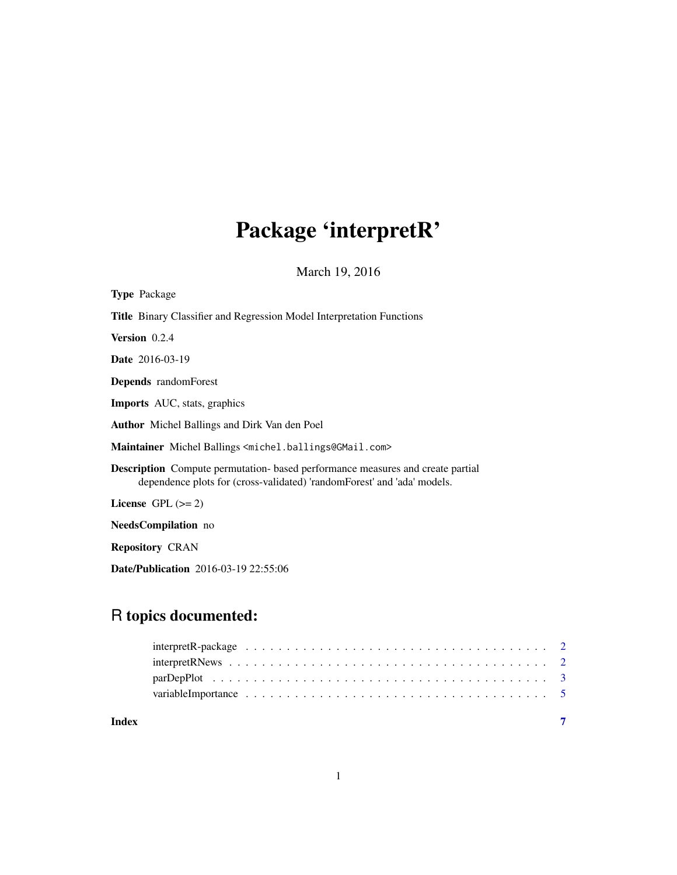## Package 'interpretR'

March 19, 2016

| <b>Type Package</b>                                                                                                                                              |
|------------------------------------------------------------------------------------------------------------------------------------------------------------------|
| <b>Title</b> Binary Classifier and Regression Model Interpretation Functions                                                                                     |
| Version 0.2.4                                                                                                                                                    |
| <b>Date</b> 2016-03-19                                                                                                                                           |
| <b>Depends</b> randomForest                                                                                                                                      |
| <b>Imports</b> AUC, stats, graphics                                                                                                                              |
| <b>Author</b> Michel Ballings and Dirk Van den Poel                                                                                                              |
| Maintainer Michel Ballings <michel.ballings@gmail.com></michel.ballings@gmail.com>                                                                               |
| <b>Description</b> Compute permutation- based performance measures and create partial<br>dependence plots for (cross-validated) 'randomForest' and 'ada' models. |
| License GPL $(>= 2)$                                                                                                                                             |
| NeedsCompilation no                                                                                                                                              |
| <b>Repository CRAN</b>                                                                                                                                           |
| <b>Date/Publication</b> 2016-03-19 22:55:06                                                                                                                      |

### R topics documented:

| Index |  |
|-------|--|
|       |  |
|       |  |
|       |  |
|       |  |

1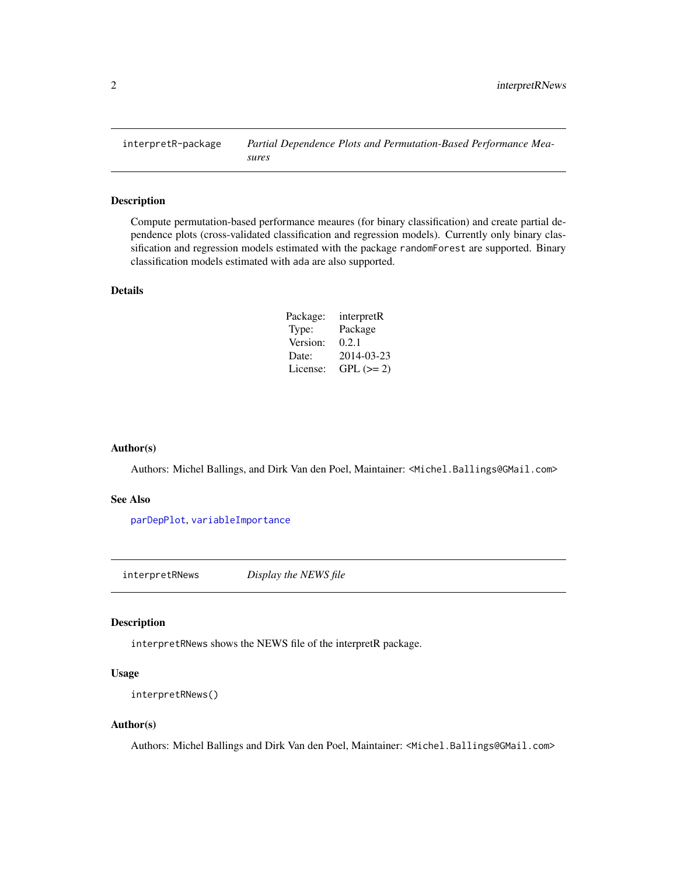<span id="page-1-0"></span>

#### Description

Compute permutation-based performance meaures (for binary classification) and create partial dependence plots (cross-validated classification and regression models). Currently only binary classification and regression models estimated with the package randomForest are supported. Binary classification models estimated with ada are also supported.

#### Details

| Package: | interpretR |
|----------|------------|
| Type:    | Package    |
| Version: | 0.2.1      |
| Date:    | 2014-03-23 |
| License: | $GPL (=2)$ |

#### Author(s)

Authors: Michel Ballings, and Dirk Van den Poel, Maintainer: <Michel.Ballings@GMail.com>

#### See Also

[parDepPlot](#page-2-1), [variableImportance](#page-4-1)

interpretRNews *Display the NEWS file*

#### Description

interpretRNews shows the NEWS file of the interpretR package.

#### Usage

```
interpretRNews()
```
#### Author(s)

Authors: Michel Ballings and Dirk Van den Poel, Maintainer: <Michel.Ballings@GMail.com>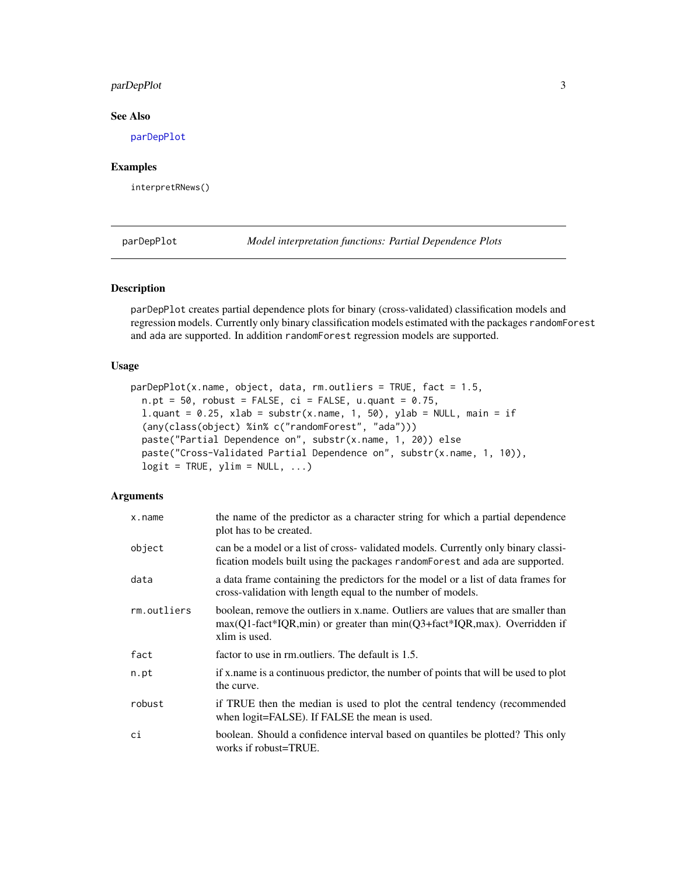#### <span id="page-2-0"></span>parDepPlot 3

#### See Also

[parDepPlot](#page-2-1)

#### Examples

interpretRNews()

<span id="page-2-1"></span>parDepPlot *Model interpretation functions: Partial Dependence Plots*

#### Description

parDepPlot creates partial dependence plots for binary (cross-validated) classification models and regression models. Currently only binary classification models estimated with the packages randomForest and ada are supported. In addition randomForest regression models are supported.

#### Usage

```
parDeplot(x.name, object, data, rm.outliers = TRUE, fact = 1.5,n.pt = 50, robust = FALSE, ci = FALSE, u.quant = 0.75,
 l.quant = 0.25, xlab = substr(x.name, 1, 50), ylab = NULL, main = if
  (any(class(object) %in% c("randomForest", "ada")))
 paste("Partial Dependence on", substr(x.name, 1, 20)) else
 paste("Cross-Validated Partial Dependence on", substr(x.name, 1, 10)),
 logit = TRUE, ylim = NULL, ...)
```
#### Arguments

| x.name      | the name of the predictor as a character string for which a partial dependence<br>plot has to be created.                                                                             |
|-------------|---------------------------------------------------------------------------------------------------------------------------------------------------------------------------------------|
| object      | can be a model or a list of cross-validated models. Currently only binary classi-<br>fication models built using the packages randomForest and ada are supported.                     |
| data        | a data frame containing the predictors for the model or a list of data frames for<br>cross-validation with length equal to the number of models.                                      |
| rm.outliers | boolean, remove the outliers in x name. Outliers are values that are smaller than<br>$max(Q1-factor*IQR,min)$ or greater than $min(Q3+fact*IQR,max)$ . Overridden if<br>xlim is used. |
| fact        | factor to use in rm. outliers. The default is 1.5.                                                                                                                                    |
| n.pt        | if x name is a continuous predictor, the number of points that will be used to plot<br>the curve.                                                                                     |
| robust      | if TRUE then the median is used to plot the central tendency (recommended<br>when logit=FALSE). If FALSE the mean is used.                                                            |
| сi          | boolean. Should a confidence interval based on quantiles be plotted? This only<br>works if robust=TRUE.                                                                               |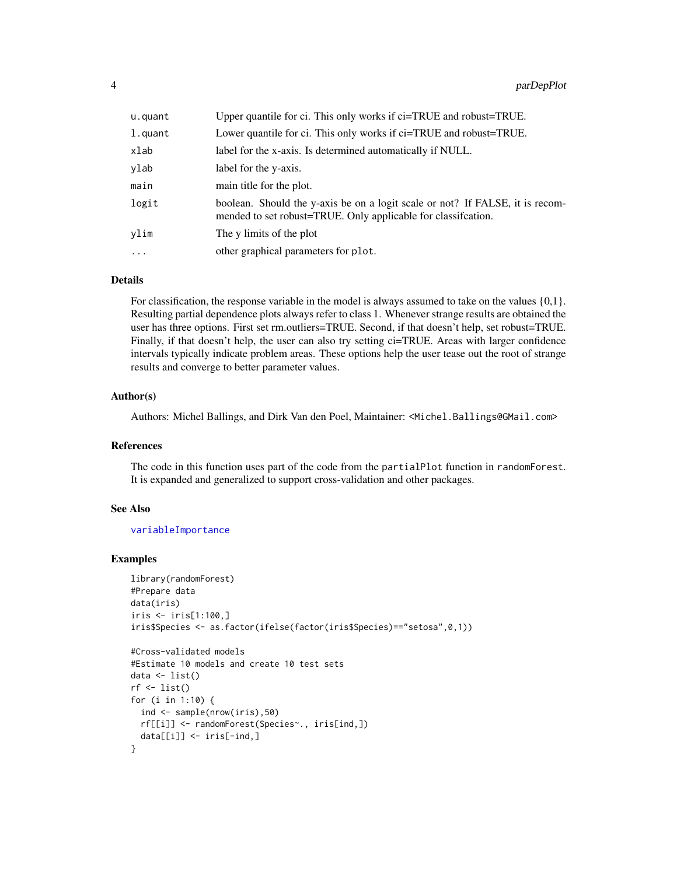<span id="page-3-0"></span>

| u.quant    | Upper quantile for ci. This only works if ci=TRUE and robust=TRUE.                                                                              |
|------------|-------------------------------------------------------------------------------------------------------------------------------------------------|
| l.quant    | Lower quantile for ci. This only works if ci=TRUE and robust=TRUE.                                                                              |
| xlab       | label for the x-axis. Is determined automatically if NULL.                                                                                      |
| ylab       | label for the y-axis.                                                                                                                           |
| main       | main title for the plot.                                                                                                                        |
| logit      | boolean. Should the y-axis be on a logit scale or not? If FALSE, it is recom-<br>mended to set robust=TRUE. Only applicable for classification. |
| ylim       | The y limits of the plot                                                                                                                        |
| $\ddots$ . | other graphical parameters for plot.                                                                                                            |

#### Details

For classification, the response variable in the model is always assumed to take on the values {0,1}. Resulting partial dependence plots always refer to class 1. Whenever strange results are obtained the user has three options. First set rm.outliers=TRUE. Second, if that doesn't help, set robust=TRUE. Finally, if that doesn't help, the user can also try setting ci=TRUE. Areas with larger confidence intervals typically indicate problem areas. These options help the user tease out the root of strange results and converge to better parameter values.

#### Author(s)

Authors: Michel Ballings, and Dirk Van den Poel, Maintainer: <Michel.Ballings@GMail.com>

#### References

The code in this function uses part of the code from the partialPlot function in randomForest. It is expanded and generalized to support cross-validation and other packages.

#### See Also

[variableImportance](#page-4-1)

#### Examples

```
library(randomForest)
#Prepare data
data(iris)
iris <- iris[1:100,]
iris$Species <- as.factor(ifelse(factor(iris$Species)=="setosa",0,1))
```

```
#Cross-validated models
#Estimate 10 models and create 10 test sets
data <- list()
rf \leftarrow list()for (i in 1:10) {
  ind <- sample(nrow(iris),50)
  rf[[i]] <- randomForest(Species~., iris[ind,])
  data[[i]] <- iris[-ind,]
}
```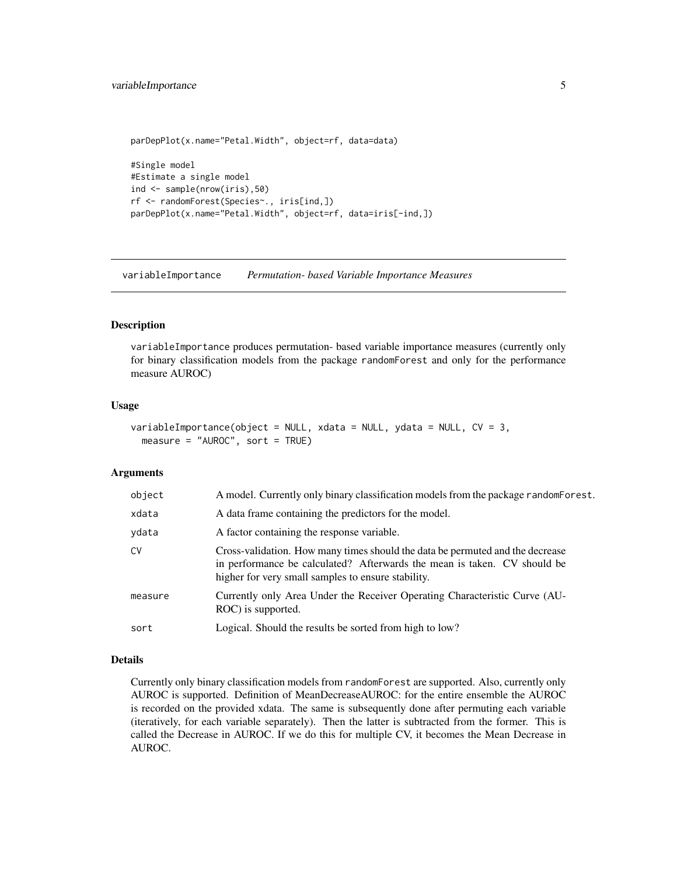#### <span id="page-4-0"></span>variableImportance 5

```
parDepPlot(x.name="Petal.Width", object=rf, data=data)
#Single model
#Estimate a single model
ind <- sample(nrow(iris),50)
rf <- randomForest(Species~., iris[ind,])
parDepPlot(x.name="Petal.Width", object=rf, data=iris[-ind,])
```
<span id="page-4-1"></span>variableImportance *Permutation- based Variable Importance Measures*

#### Description

variableImportance produces permutation- based variable importance measures (currently only for binary classification models from the package randomForest and only for the performance measure AUROC)

#### Usage

```
variableImportance(object = NULL, xdata = NULL, ydata = NULL, CV = 3,
 measure = "AUROC", sort = TRUE)
```
#### Arguments

| object  | A model. Currently only binary classification models from the package random Forest.                                                                                                                            |
|---------|-----------------------------------------------------------------------------------------------------------------------------------------------------------------------------------------------------------------|
| xdata   | A data frame containing the predictors for the model.                                                                                                                                                           |
| ydata   | A factor containing the response variable.                                                                                                                                                                      |
| CV      | Cross-validation. How many times should the data be permuted and the decrease<br>in performance be calculated? Afterwards the mean is taken. CV should be<br>higher for very small samples to ensure stability. |
| measure | Currently only Area Under the Receiver Operating Characteristic Curve (AU-<br>ROC) is supported.                                                                                                                |
| sort    | Logical. Should the results be sorted from high to low?                                                                                                                                                         |

#### Details

Currently only binary classification models from randomForest are supported. Also, currently only AUROC is supported. Definition of MeanDecreaseAUROC: for the entire ensemble the AUROC is recorded on the provided xdata. The same is subsequently done after permuting each variable (iteratively, for each variable separately). Then the latter is subtracted from the former. This is called the Decrease in AUROC. If we do this for multiple CV, it becomes the Mean Decrease in AUROC.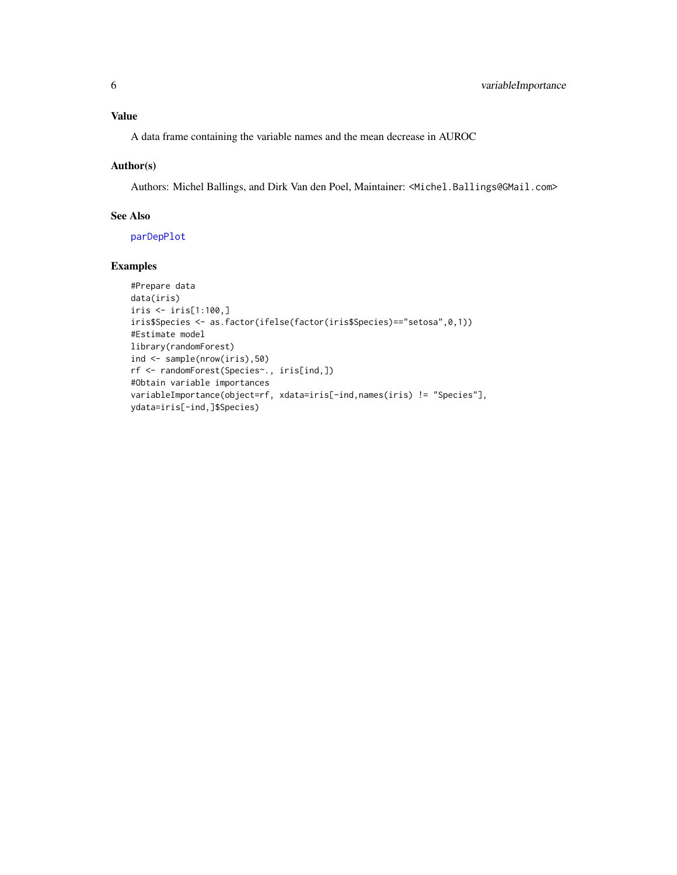### <span id="page-5-0"></span>Value

A data frame containing the variable names and the mean decrease in AUROC

#### Author(s)

Authors: Michel Ballings, and Dirk Van den Poel, Maintainer: <Michel.Ballings@GMail.com>

#### See Also

[parDepPlot](#page-2-1)

#### Examples

```
#Prepare data
data(iris)
iris <- iris[1:100,]
iris$Species <- as.factor(ifelse(factor(iris$Species)=="setosa",0,1))
#Estimate model
library(randomForest)
ind <- sample(nrow(iris),50)
rf <- randomForest(Species~., iris[ind,])
#Obtain variable importances
variableImportance(object=rf, xdata=iris[-ind,names(iris) != "Species"],
ydata=iris[-ind,]$Species)
```